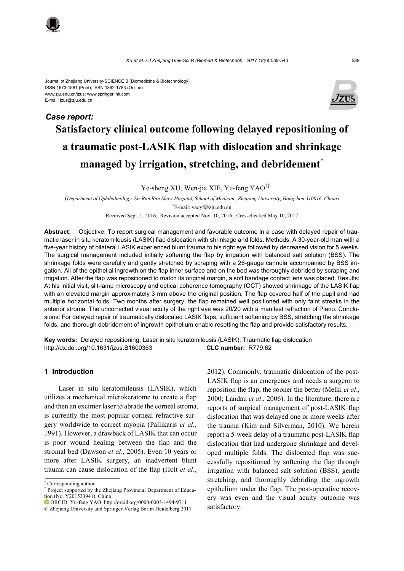Journal of Zhejiang University-SCIENCE B (Biomedicine & Biotechnology) ISSN 1673-1581 (Print); ISSN 1862-1783 (Online) www.zju.edu.cn/jzus; www.springerlink.com E-mail: jzus@zju.edu.cn



# **Satisfactory clinical outcome following delayed repositioning of a traumatic post-LASIK flap with dislocation and shrinkage managed by irrigation, stretching, and debridement<sup>\*</sup>** *Case report:*

Ye-sheng XU, Wen-jia XIE, Yu-feng YAO†‡

(*Department of Ophthalmology, Sir Run Run Shaw Hospital, School of Medicine, Zhejiang University, Hangzhou 310016, China*) † E-mail: yaoyf@zju.edu.cn

Received Sept. 1, 2016; Revision accepted Nov. 10, 2016; Crosschecked May 10, 2017

**Abstract:** Objective: To report surgical management and favorable outcome in a case with delayed repair of traumatic laser in situ keratomileusis (LASIK) flap dislocation with shrinkage and folds. Methods: A 30-year-old man with a five-year history of bilateral LASIK experienced blunt trauma to his right eye followed by decreased vision for 5 weeks. The surgical management included initially softening the flap by irrigation with balanced salt solution (BSS). The shrinkage folds were carefully and gently stretched by scraping with a 26-gauge cannula accompanied by BSS irrigation. All of the epithelial ingrowth on the flap inner surface and on the bed was thoroughly debrided by scraping and irrigation. After the flap was repositioned to match its original margin, a soft bandage contact lens was placed. Results: At his initial visit, slit-lamp microscopy and optical coherence tomography (OCT) showed shrinkage of the LASIK flap with an elevated margin approximately 3 mm above the original position. The flap covered half of the pupil and had multiple horizontal folds. Two months after surgery, the flap remained well positioned with only faint streaks in the anterior stroma. The uncorrected visual acuity of the right eye was 20/20 with a manifest refraction of Plano. Conclusions: For delayed repair of traumatically dislocated LASIK flaps, sufficient softening by BSS, stretching the shrinkage folds, and thorough debridement of ingrowth epithelium enable resetting the flap and provide satisfactory results.

**Key words:** Delayed repositioning; Laser in situ keratomileusis (LASIK); Traumatic flap dislocation http://dx.doi.org/10.1631/jzus.B1600363 **CLC number:** R779.62

### **1 Introduction**

Laser in situ keratomileusis (LASIK), which utilizes a mechanical microkeratome to create a flap and then an excimer laser to abrade the corneal stroma, is currently the most popular corneal refractive surgery worldwide to correct myopia (Pallikaris *et al*., 1991). However, a drawback of LASIK that can occur is poor wound healing between the flap and the stromal bed (Dawson *et al*., 2005). Even 10 years or more after LASIK surgery, an inadvertent blunt trauma can cause dislocation of the flap (Holt *et al*.,

2012). Commonly, traumatic dislocation of the post-LASIK flap is an emergency and needs a surgeon to reposition the flap, the sooner the better (Melki *et al*., 2000; Landau *et al*., 2006). In the literature, there are reports of surgical management of post-LASIK flap dislocation that was delayed one or more weeks after the trauma (Kim and Silverman, 2010). We herein report a 5-week delay of a traumatic post-LASIK flap dislocation that had undergone shrinkage and developed multiple folds. The dislocated flap was successfully repositioned by softening the flap through irrigation with balanced salt solution (BSS), gentle stretching, and thoroughly debriding the ingrowth epithelium under the flap. The post-operative recovery was even and the visual acuity outcome was satisfactory.

<sup>‡</sup> Corresponding author

<sup>\*</sup> Project supported by the Zhejiang Provincial Department of Education (No. Y201533941), China

ORCID: Yu-feng YAO, http://orcid.org/0000-0003-1494-9711

<sup>©</sup> Zhejiang University and Springer-Verlag Berlin Heidelberg 2017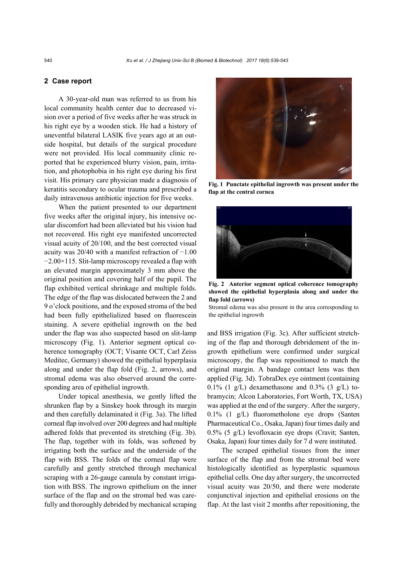### **2 Case report**

A 30-year-old man was referred to us from his local community health center due to decreased vision over a period of five weeks after he was struck in his right eye by a wooden stick. He had a history of uneventful bilateral LASIK five years ago at an outside hospital, but details of the surgical procedure were not provided. His local community clinic reported that he experienced blurry vision, pain, irritation, and photophobia in his right eye during his first visit. His primary care physician made a diagnosis of keratitis secondary to ocular trauma and prescribed a daily intravenous antibiotic injection for five weeks.

When the patient presented to our department five weeks after the original injury, his intensive ocular discomfort had been alleviated but his vision had not recovered. His right eye manifested uncorrected visual acuity of 20/100, and the best corrected visual acuity was 20/40 with a manifest refraction of −1.00 −2.00×115. Slit-lamp microscopy revealed a flap with an elevated margin approximately 3 mm above the original position and covering half of the pupil. The flap exhibited vertical shrinkage and multiple folds. The edge of the flap was dislocated between the 2 and 9 o'clock positions, and the exposed stroma of the bed had been fully epithelialized based on fluorescein staining. A severe epithelial ingrowth on the bed under the flap was also suspected based on slit-lamp microscopy (Fig. 1). Anterior segment optical coherence tomography (OCT; Visante OCT, Carl Zeiss Meditec, Germany) showed the epithelial hyperplasia along and under the flap fold (Fig. 2, arrows), and stromal edema was also observed around the corresponding area of epithelial ingrowth.

Under topical anesthesia, we gently lifted the shrunken flap by a Sinskey hook through its margin and then carefully delaminated it (Fig. 3a). The lifted corneal flap involved over 200 degrees and had multiple adhered folds that prevented its stretching (Fig. 3b). The flap, together with its folds, was softened by irrigating both the surface and the underside of the flap with BSS. The folds of the corneal flap were carefully and gently stretched through mechanical scraping with a 26-gauge cannula by constant irrigation with BSS. The ingrown epithelium on the inner surface of the flap and on the stromal bed was carefully and thoroughly debrided by mechanical scraping



**Fig. 1 Punctate epithelial ingrowth was present under the flap at the central cornea**



**Fig. 2 Anterior segment optical coherence tomography showed the epithelial hyperplasia along and under the flap fold (arrows)** 

Stromal edema was also present in the area corresponding to the epithelial ingrowth

and BSS irrigation (Fig. 3c). After sufficient stretching of the flap and thorough debridement of the ingrowth epithelium were confirmed under surgical microscopy, the flap was repositioned to match the original margin. A bandage contact lens was then applied (Fig. 3d). TobraDex eye ointment (containing 0.1% (1 g/L) dexamethasone and 0.3% (3 g/L) tobramycin; Alcon Laboratories, Fort Worth, TX, USA) was applied at the end of the surgery. After the surgery, 0.1% (1 g/L) fluorometholone eye drops (Santen Pharmaceutical Co., Osaka, Japan) four times daily and 0.5% (5 g/L) levofloxacin eye drops (Cravit; Santen, Osaka, Japan) four times daily for 7 d were instituted.

The scraped epithelial tissues from the inner surface of the flap and from the stromal bed were histologically identified as hyperplastic squamous epithelial cells. One day after surgery, the uncorrected visual acuity was 20/50, and there were moderate conjunctival injection and epithelial erosions on the flap. At the last visit 2 months after repositioning, the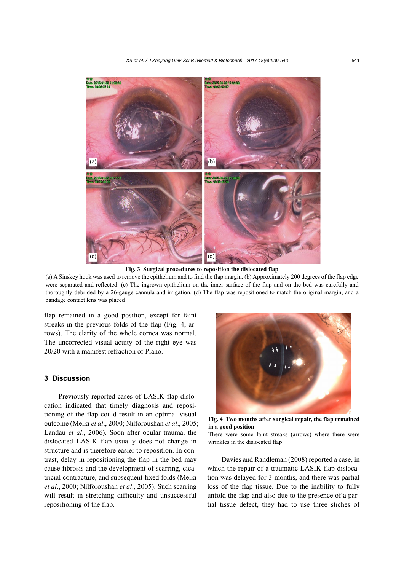

**Fig. 3 Surgical procedures to reposition the dislocated flap** 

(a) A Sinskey hook was used to remove the epithelium and to find the flap margin. (b) Approximately 200 degrees of the flap edge were separated and reflected. (c) The ingrown epithelium on the inner surface of the flap and on the bed was carefully and thoroughly debrided by a 26-gauge cannula and irrigation. (d) The flap was repositioned to match the original margin, and a bandage contact lens was placed

flap remained in a good position, except for faint streaks in the previous folds of the flap (Fig. 4, arrows). The clarity of the whole cornea was normal. The uncorrected visual acuity of the right eye was 20/20 with a manifest refraction of Plano.

#### **3 Discussion**

Previously reported cases of LASIK flap dislocation indicated that timely diagnosis and repositioning of the flap could result in an optimal visual outcome (Melki *et al*., 2000; Nilforoushan *et al*., 2005; Landau *et al*., 2006). Soon after ocular trauma, the dislocated LASIK flap usually does not change in structure and is therefore easier to reposition. In contrast, delay in repositioning the flap in the bed may cause fibrosis and the development of scarring, cicatricial contracture, and subsequent fixed folds (Melki *et al*., 2000; Nilforoushan *et al*., 2005). Such scarring will result in stretching difficulty and unsuccessful repositioning of the flap.



**Fig. 4 Two months after surgical repair, the flap remained in a good position** 

There were some faint streaks (arrows) where there were wrinkles in the dislocated flap

Davies and Randleman (2008) reported a case, in which the repair of a traumatic LASIK flap dislocation was delayed for 3 months, and there was partial loss of the flap tissue. Due to the inability to fully unfold the flap and also due to the presence of a partial tissue defect, they had to use three stiches of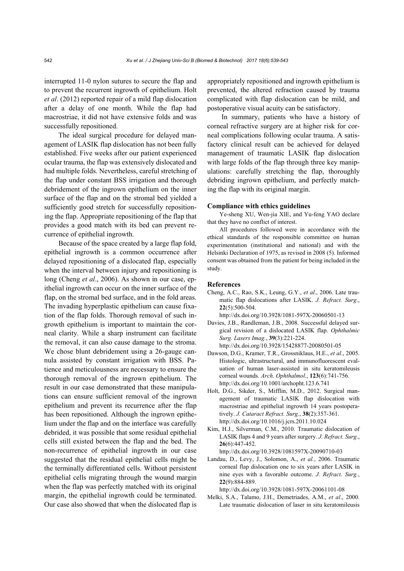interrupted 11-0 nylon sutures to secure the flap and to prevent the recurrent ingrowth of epithelium. Holt *et al*. (2012) reported repair of a mild flap dislocation after a delay of one month. While the flap had macrostriae, it did not have extensive folds and was successfully repositioned.

The ideal surgical procedure for delayed management of LASIK flap dislocation has not been fully established. Five weeks after our patient experienced ocular trauma, the flap was extensively dislocated and had multiple folds. Nevertheless, careful stretching of the flap under constant BSS irrigation and thorough debridement of the ingrown epithelium on the inner surface of the flap and on the stromal bed yielded a sufficiently good stretch for successfully repositioning the flap. Appropriate repositioning of the flap that provides a good match with its bed can prevent recurrence of epithelial ingrowth.

Because of the space created by a large flap fold, epithelial ingrowth is a common occurrence after delayed repositioning of a dislocated flap, especially when the interval between injury and repositioning is long (Cheng *et al*., 2006). As shown in our case, epithelial ingrowth can occur on the inner surface of the flap, on the stromal bed surface, and in the fold areas. The invading hyperplastic epithelium can cause fixation of the flap folds. Thorough removal of such ingrowth epithelium is important to maintain the corneal clarity. While a sharp instrument can facilitate the removal, it can also cause damage to the stroma. We chose blunt debridement using a 26-gauge cannula assisted by constant irrigation with BSS. Patience and meticulousness are necessary to ensure the thorough removal of the ingrown epithelium. The result in our case demonstrated that these manipulations can ensure sufficient removal of the ingrown epithelium and prevent its recurrence after the flap has been repositioned. Although the ingrown epithelium under the flap and on the interface was carefully debrided, it was possible that some residual epithelial cells still existed between the flap and the bed. The non-recurrence of epithelial ingrowth in our case suggested that the residual epithelial cells might be the terminally differentiated cells. Without persistent epithelial cells migrating through the wound margin when the flap was perfectly matched with its original margin, the epithelial ingrowth could be terminated. Our case also showed that when the dislocated flap is appropriately repositioned and ingrowth epithelium is prevented, the altered refraction caused by trauma complicated with flap dislocation can be mild, and postoperative visual acuity can be satisfactory.

In summary, patients who have a history of corneal refractive surgery are at higher risk for corneal complications following ocular trauma. A satisfactory clinical result can be achieved for delayed management of traumatic LASIK flap dislocation with large folds of the flap through three key manipulations: carefully stretching the flap, thoroughly debriding ingrown epithelium, and perfectly matching the flap with its original margin.

#### **Compliance with ethics guidelines**

Ye-sheng XU, Wen-jia XIE, and Yu-feng YAO declare that they have no conflict of interest.

All procedures followed were in accordance with the ethical standards of the responsible committee on human experimentation (institutional and national) and with the Helsinki Declaration of 1975, as revised in 2008 (5). Informed consent was obtained from the patient for being included in the study.

#### **References**

Cheng, A.C., Rao, S.K., Leung, G.Y., *et al*., 2006. Late traumatic flap dislocations after LASIK. *J. Refract. Surg*., **22**(5):500-504.

http://dx.doi.org/10.3928/1081-597X-20060501-13

- Davies, J.B., Randleman, J.B., 2008. Successful delayed surgical revision of a dislocated LASIK flap. *Ophthalmic Surg. Lasers Imag.*, **39**(3):221-224. http://dx.doi.org/10.3928/15428877-20080501-05
- Dawson, D.G., Kramer, T.R., Grossniklaus, H.E., *et al*., 2005. Histologic, ultrastructural, and immunofluorescent evaluation of human laser-assisted in situ keratomileusis corneal wounds. *Arch. Ophthalmol*., **123**(6):741-756. http://dx.doi.org/10.1001/archopht.123.6.741
- Holt, D.G., Sikder, S., Mifflin, M.D., 2012. Surgical management of traumatic LASIK flap dislocation with macrostriae and epithelial ingrowth 14 years postoperatively. *J. Cataract Refract. Surg*., **38**(2):357-361. http://dx.doi.org/10.1016/j.jcrs.2011.10.024
- Kim, H.J., Silverman, C.M., 2010. Traumatic dislocation of LASIK flaps 4 and 9 years after surgery. *J. Refract. Surg*., **26**(6):447-452.

http://dx.doi.org/10.3928/1081597X-20090710-03

Landau, D., Levy, J., Solomon, A., *et al.*, 2006. Traumatic corneal flap dislocation one to six years after LASIK in nine eyes with a favorable outcome. *J. Refract. Surg.*, **22**(9):884-889.

http://dx.doi.org/10.3928/1081-597X-20061101-08

Melki, S.A., Talamo, J.H., Demetriades, A.M., *et al*., 2000. Late traumatic dislocation of laser in situ keratomileusis